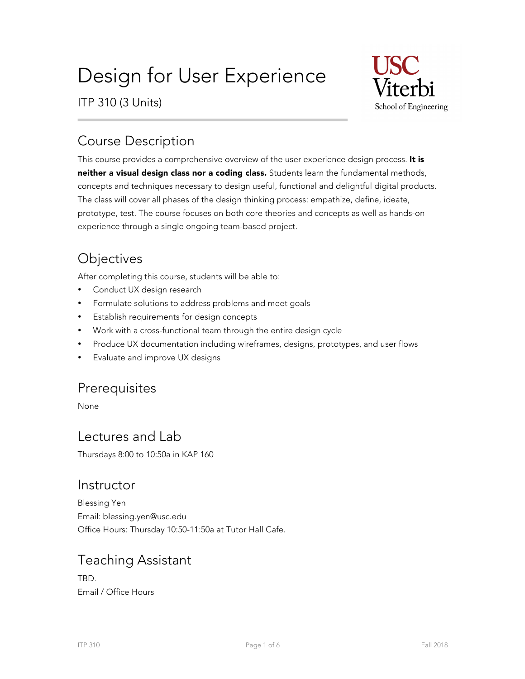# Design for User Experience

ITP 310 (3 Units)



# Course Description

This course provides a comprehensive overview of the user experience design process. It is neither a visual design class nor a coding class. Students learn the fundamental methods, concepts and techniques necessary to design useful, functional and delightful digital products. The class will cover all phases of the design thinking process: empathize, define, ideate, prototype, test. The course focuses on both core theories and concepts as well as hands-on experience through a single ongoing team-based project.

# **Objectives**

After completing this course, students will be able to:

- Conduct UX design research
- Formulate solutions to address problems and meet goals
- Establish requirements for design concepts
- Work with a cross-functional team through the entire design cycle
- Produce UX documentation including wireframes, designs, prototypes, and user flows
- Evaluate and improve UX designs

### **Prerequisites**

None

### Lectures and Lab

Thursdays 8:00 to 10:50a in KAP 160

### **Instructor**

Blessing Yen Email: blessing.yen@usc.edu Office Hours: Thursday 10:50-11:50a at Tutor Hall Cafe.

### Teaching Assistant

TBD. Email / Office Hours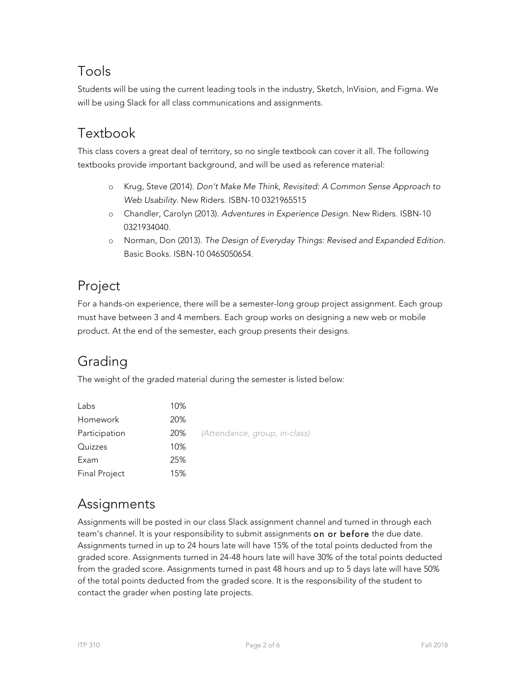# Tools

Students will be using the current leading tools in the industry, Sketch, InVision, and Figma. We will be using Slack for all class communications and assignments.

# Textbook

This class covers a great deal of territory, so no single textbook can cover it all. The following textbooks provide important background, and will be used as reference material:

- o Krug, Steve (2014). *Don't Make Me Think, Revisited: A Common Sense Approach to Web Usability*. New Riders. ISBN-10 0321965515
- o Chandler, Carolyn (2013). *Adventures in Experience Design*. New Riders. ISBN-10 0321934040.
- o Norman, Don (2013). *The Design of Everyday Things: Revised and Expanded Edition*. Basic Books. ISBN-10 0465050654.

# Project

For a hands-on experience, there will be a semester-long group project assignment. Each group must have between 3 and 4 members. Each group works on designing a new web or mobile product. At the end of the semester, each group presents their designs.

# Grading

The weight of the graded material during the semester is listed below:

| Labs                 | 10% |                               |
|----------------------|-----|-------------------------------|
| Homework             | 20% |                               |
| Participation        | 20% | (Attendance, group, in-class) |
| Quizzes              | 10% |                               |
| Exam                 | 25% |                               |
| <b>Final Project</b> | 15% |                               |

### Assignments

Assignments will be posted in our class Slack assignment channel and turned in through each team's channel. It is your responsibility to submit assignments on or before the due date. Assignments turned in up to 24 hours late will have 15% of the total points deducted from the graded score. Assignments turned in 24-48 hours late will have 30% of the total points deducted from the graded score. Assignments turned in past 48 hours and up to 5 days late will have 50% of the total points deducted from the graded score. It is the responsibility of the student to contact the grader when posting late projects.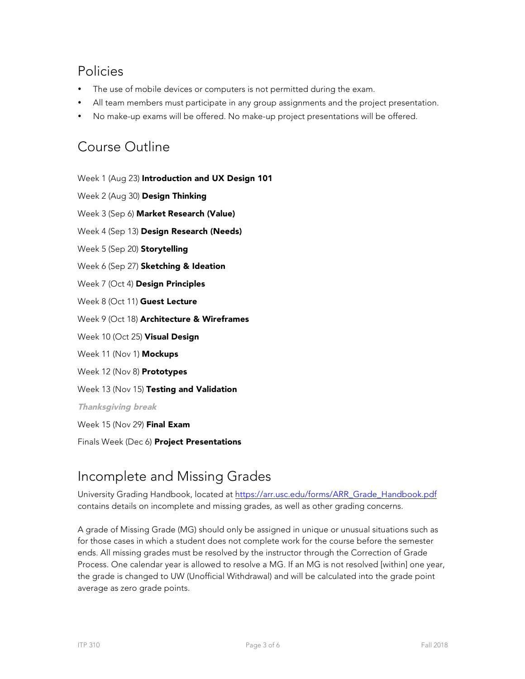### Policies

- The use of mobile devices or computers is not permitted during the exam.
- All team members must participate in any group assignments and the project presentation.
- No make-up exams will be offered. No make-up project presentations will be offered.

### Course Outline

Week 1 (Aug 23) Introduction and UX Design 101

Week 2 (Aug 30) Design Thinking

Week 3 (Sep 6) Market Research (Value)

Week 4 (Sep 13) Design Research (Needs)

Week 5 (Sep 20) Storytelling

Week 6 (Sep 27) Sketching & Ideation

Week 7 (Oct 4) Design Principles

Week 8 (Oct 11) Guest Lecture

Week 9 (Oct 18) Architecture & Wireframes

Week 10 (Oct 25) Visual Design

Week 11 (Nov 1) Mockups

Week 12 (Nov 8) Prototypes

Week 13 (Nov 15) Testing and Validation

Thanksgiving break

Week 15 (Nov 29) Final Exam

Finals Week (Dec 6) Project Presentations

### Incomplete and Missing Grades

University Grading Handbook, located at https://arr.usc.edu/forms/ARR\_Grade\_Handbook.pdf contains details on incomplete and missing grades, as well as other grading concerns.

A grade of Missing Grade (MG) should only be assigned in unique or unusual situations such as for those cases in which a student does not complete work for the course before the semester ends. All missing grades must be resolved by the instructor through the Correction of Grade Process. One calendar year is allowed to resolve a MG. If an MG is not resolved [within] one year, the grade is changed to UW (Unofficial Withdrawal) and will be calculated into the grade point average as zero grade points.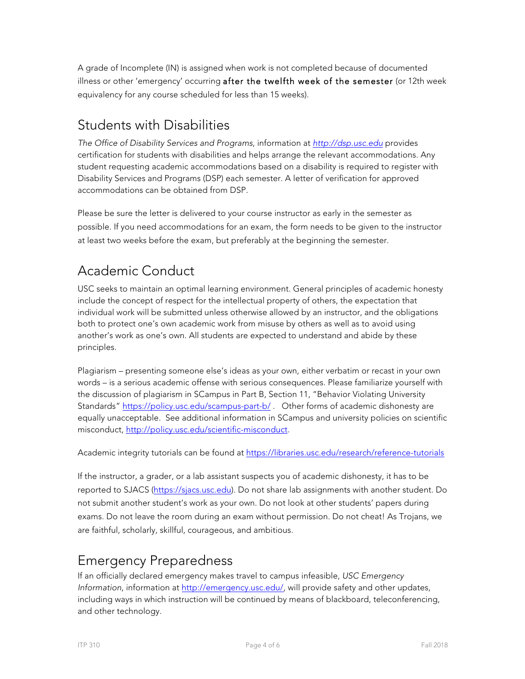A grade of Incomplete (IN) is assigned when work is not completed because of documented illness or other 'emergency' occurring after the twelfth week of the semester (or 12th week equivalency for any course scheduled for less than 15 weeks).

# Students with Disabilities

*The Office of Disability Services and Programs*, information at *http://dsp.usc.edu* provides certification for students with disabilities and helps arrange the relevant accommodations. Any student requesting academic accommodations based on a disability is required to register with Disability Services and Programs (DSP) each semester. A letter of verification for approved accommodations can be obtained from DSP.

Please be sure the letter is delivered to your course instructor as early in the semester as possible. If you need accommodations for an exam, the form needs to be given to the instructor at least two weeks before the exam, but preferably at the beginning the semester.

# Academic Conduct

USC seeks to maintain an optimal learning environment. General principles of academic honesty include the concept of respect for the intellectual property of others, the expectation that individual work will be submitted unless otherwise allowed by an instructor, and the obligations both to protect one's own academic work from misuse by others as well as to avoid using another's work as one's own. All students are expected to understand and abide by these principles.

Plagiarism – presenting someone else's ideas as your own, either verbatim or recast in your own words – is a serious academic offense with serious consequences. Please familiarize yourself with the discussion of plagiarism in SCampus in Part B, Section 11, "Behavior Violating University Standards" https://policy.usc.edu/scampus-part-b/ . Other forms of academic dishonesty are equally unacceptable. See additional information in SCampus and university policies on scientific misconduct, http://policy.usc.edu/scientific-misconduct.

Academic integrity tutorials can be found at https://libraries.usc.edu/research/reference-tutorials

If the instructor, a grader, or a lab assistant suspects you of academic dishonesty, it has to be reported to SJACS (https://sjacs.usc.edu). Do not share lab assignments with another student. Do not submit another student's work as your own. Do not look at other students' papers during exams. Do not leave the room during an exam without permission. Do not cheat! As Trojans, we are faithful, scholarly, skillful, courageous, and ambitious.

# Emergency Preparedness

If an officially declared emergency makes travel to campus infeasible, *USC Emergency Information*, information at http://emergency.usc.edu/, will provide safety and other updates, including ways in which instruction will be continued by means of blackboard, teleconferencing, and other technology.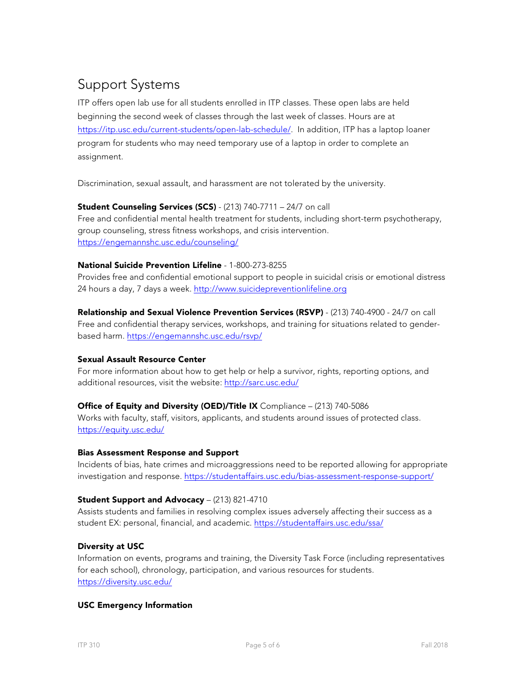# Support Systems

ITP offers open lab use for all students enrolled in ITP classes. These open labs are held beginning the second week of classes through the last week of classes. Hours are at https://itp.usc.edu/current-students/open-lab-schedule/. In addition, ITP has a laptop loaner program for students who may need temporary use of a laptop in order to complete an assignment.

Discrimination, sexual assault, and harassment are not tolerated by the university.

#### Student Counseling Services (SCS) - (213) 740-7711 – 24/7 on call

Free and confidential mental health treatment for students, including short-term psychotherapy, group counseling, stress fitness workshops, and crisis intervention. https://engemannshc.usc.edu/counseling/

#### National Suicide Prevention Lifeline - 1-800-273-8255

Provides free and confidential emotional support to people in suicidal crisis or emotional distress 24 hours a day, 7 days a week. http://www.suicidepreventionlifeline.org

Relationship and Sexual Violence Prevention Services (RSVP) - (213) 740-4900 - 24/7 on call Free and confidential therapy services, workshops, and training for situations related to genderbased harm. https://engemannshc.usc.edu/rsvp/

#### Sexual Assault Resource Center

For more information about how to get help or help a survivor, rights, reporting options, and additional resources, visit the website: http://sarc.usc.edu/

#### Office of Equity and Diversity (OED)/Title IX Compliance - (213) 740-5086

Works with faculty, staff, visitors, applicants, and students around issues of protected class. https://equity.usc.edu/

#### Bias Assessment Response and Support

Incidents of bias, hate crimes and microaggressions need to be reported allowing for appropriate investigation and response. https://studentaffairs.usc.edu/bias-assessment-response-support/

#### Student Support and Advocacy – (213) 821-4710

Assists students and families in resolving complex issues adversely affecting their success as a student EX: personal, financial, and academic. https://studentaffairs.usc.edu/ssa/

#### Diversity at USC

Information on events, programs and training, the Diversity Task Force (including representatives for each school), chronology, participation, and various resources for students. https://diversity.usc.edu/

#### USC Emergency Information